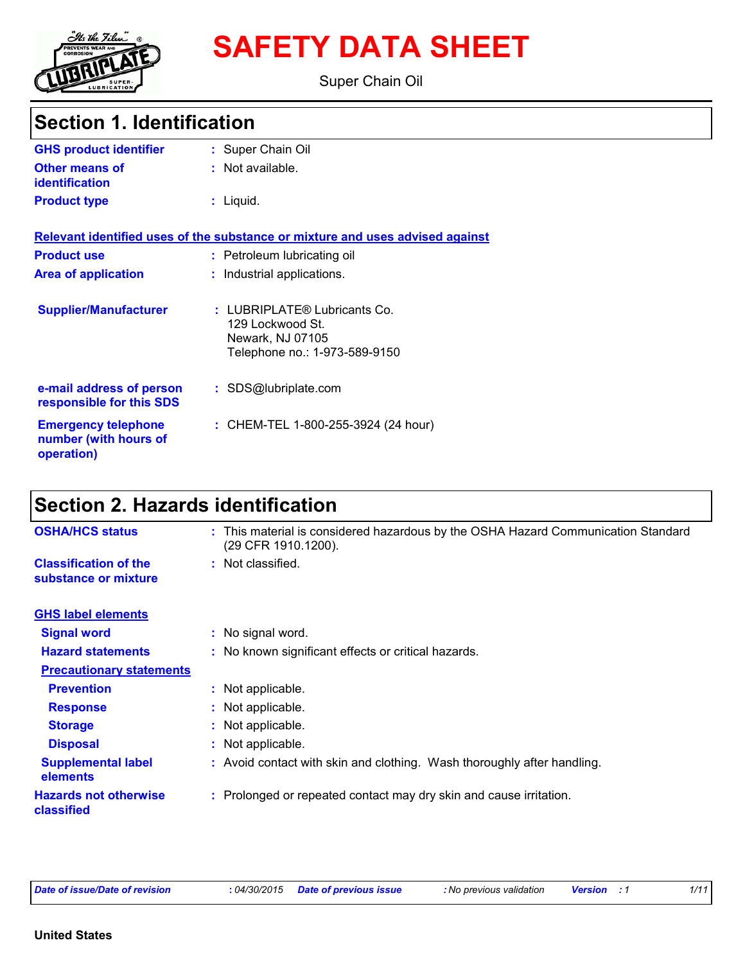

# **SAFETY DATA SHEET**

Super Chain Oil

## **Section 1. Identification**

| <b>GHS product identifier</b>                                     | : Super Chain Oil                                                                                     |
|-------------------------------------------------------------------|-------------------------------------------------------------------------------------------------------|
| <b>Other means of</b><br><b>identification</b>                    | : Not available.                                                                                      |
| <b>Product type</b>                                               | : Liquid.                                                                                             |
|                                                                   | Relevant identified uses of the substance or mixture and uses advised against                         |
| <b>Product use</b>                                                | : Petroleum lubricating oil                                                                           |
| <b>Area of application</b>                                        | : Industrial applications.                                                                            |
| <b>Supplier/Manufacturer</b>                                      | : LUBRIPLATE® Lubricants Co.<br>129 Lockwood St.<br>Newark, NJ 07105<br>Telephone no.: 1-973-589-9150 |
| e-mail address of person<br>responsible for this SDS              | : SDS@lubriplate.com                                                                                  |
| <b>Emergency telephone</b><br>number (with hours of<br>operation) | : CHEM-TEL 1-800-255-3924 (24 hour)                                                                   |

## **Section 2. Hazards identification**

| <b>OSHA/HCS status</b>                               | : This material is considered hazardous by the OSHA Hazard Communication Standard<br>(29 CFR 1910.1200). |  |
|------------------------------------------------------|----------------------------------------------------------------------------------------------------------|--|
| <b>Classification of the</b><br>substance or mixture | : Not classified.                                                                                        |  |
| <b>GHS label elements</b>                            |                                                                                                          |  |
| <b>Signal word</b>                                   | : No signal word.                                                                                        |  |
| <b>Hazard statements</b>                             | : No known significant effects or critical hazards.                                                      |  |
| <b>Precautionary statements</b>                      |                                                                                                          |  |
| <b>Prevention</b>                                    | : Not applicable.                                                                                        |  |
| <b>Response</b>                                      | : Not applicable.                                                                                        |  |
| <b>Storage</b>                                       | : Not applicable.                                                                                        |  |
| <b>Disposal</b>                                      | : Not applicable.                                                                                        |  |
| <b>Supplemental label</b><br>elements                | : Avoid contact with skin and clothing. Wash thoroughly after handling.                                  |  |
| <b>Hazards not otherwise</b><br><b>classified</b>    | : Prolonged or repeated contact may dry skin and cause irritation.                                       |  |
|                                                      |                                                                                                          |  |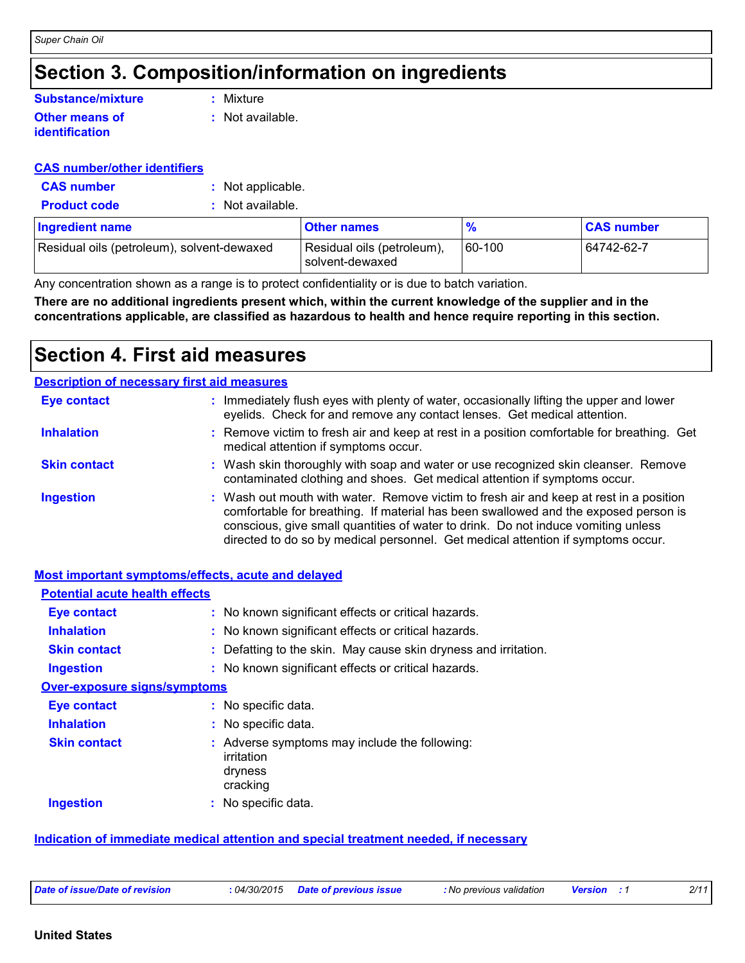### **Section 3. Composition/information on ingredients**

#### **Other means of identification Substance/mixture**

**:** Mixture

**:** Not available.

#### **CAS number/other identifiers**

- **CAS number :** Not applicable.
- **Product code :** Not available.

| Ingredient name                            | Other names                                   | $\frac{9}{6}$ | <b>CAS number</b> |
|--------------------------------------------|-----------------------------------------------|---------------|-------------------|
| Residual oils (petroleum), solvent-dewaxed | Residual oils (petroleum),<br>solvent-dewaxed | $ 60 - 100$   | 64742-62-7        |

Any concentration shown as a range is to protect confidentiality or is due to batch variation.

**There are no additional ingredients present which, within the current knowledge of the supplier and in the concentrations applicable, are classified as hazardous to health and hence require reporting in this section.**

### **Section 4. First aid measures**

| <b>Description of necessary first aid measures</b> |                                                                                                                                                                                                                                                                                                                                                        |
|----------------------------------------------------|--------------------------------------------------------------------------------------------------------------------------------------------------------------------------------------------------------------------------------------------------------------------------------------------------------------------------------------------------------|
| <b>Eye contact</b>                                 | : Immediately flush eyes with plenty of water, occasionally lifting the upper and lower<br>eyelids. Check for and remove any contact lenses. Get medical attention.                                                                                                                                                                                    |
| <b>Inhalation</b>                                  | : Remove victim to fresh air and keep at rest in a position comfortable for breathing. Get<br>medical attention if symptoms occur.                                                                                                                                                                                                                     |
| <b>Skin contact</b>                                | : Wash skin thoroughly with soap and water or use recognized skin cleanser. Remove<br>contaminated clothing and shoes. Get medical attention if symptoms occur.                                                                                                                                                                                        |
| <b>Ingestion</b>                                   | : Wash out mouth with water. Remove victim to fresh air and keep at rest in a position<br>comfortable for breathing. If material has been swallowed and the exposed person is<br>conscious, give small quantities of water to drink. Do not induce vomiting unless<br>directed to do so by medical personnel. Get medical attention if symptoms occur. |

#### **Most important symptoms/effects, acute and delayed**

| <b>Potential acute health effects</b> |                                                                                    |
|---------------------------------------|------------------------------------------------------------------------------------|
| <b>Eye contact</b>                    | : No known significant effects or critical hazards.                                |
| <b>Inhalation</b>                     | : No known significant effects or critical hazards.                                |
| <b>Skin contact</b>                   | : Defatting to the skin. May cause skin dryness and irritation.                    |
| <b>Ingestion</b>                      | : No known significant effects or critical hazards.                                |
| <b>Over-exposure signs/symptoms</b>   |                                                                                    |
| <b>Eye contact</b>                    | : No specific data.                                                                |
| <b>Inhalation</b>                     | : No specific data.                                                                |
| <b>Skin contact</b>                   | : Adverse symptoms may include the following:<br>irritation<br>dryness<br>cracking |
| <b>Ingestion</b>                      | : No specific data.                                                                |

#### **Indication of immediate medical attention and special treatment needed, if necessary**

```
Date of issue/Date of revision : 04/30/2015 Date of previous issue : No previous validation Version : 1 2/11
```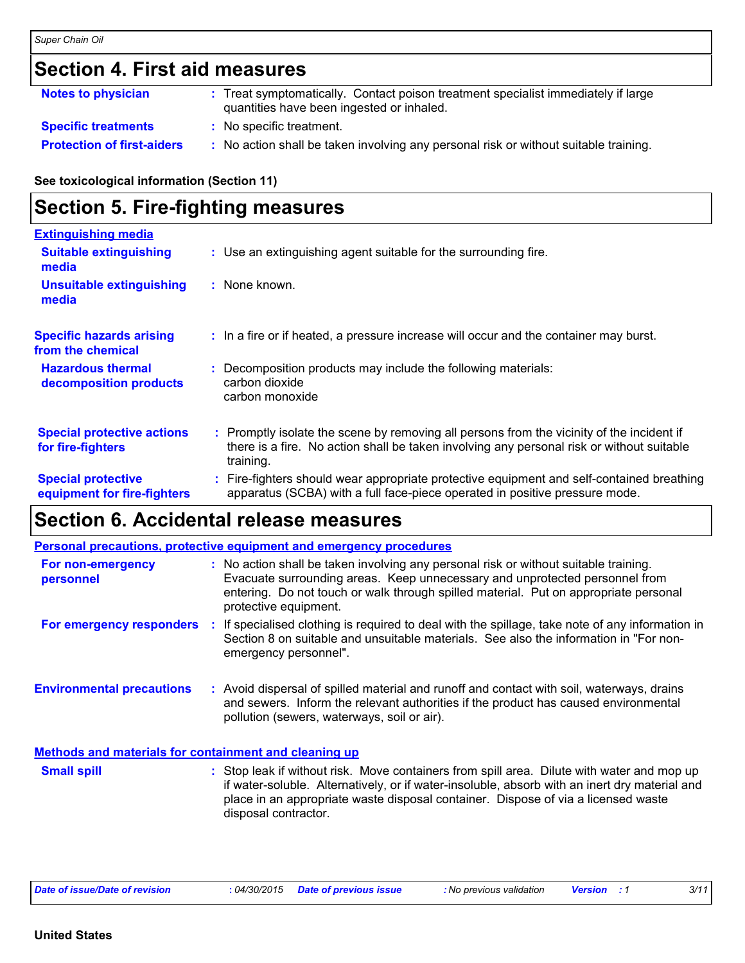### **Section 4. First aid measures**

| <b>Notes to physician</b>         | : Treat symptomatically. Contact poison treatment specialist immediately if large<br>quantities have been ingested or inhaled. |
|-----------------------------------|--------------------------------------------------------------------------------------------------------------------------------|
| <b>Specific treatments</b>        | : No specific treatment.                                                                                                       |
| <b>Protection of first-aiders</b> | No action shall be taken involving any personal risk or without suitable training.                                             |

**See toxicological information (Section 11)**

### **Section 5. Fire-fighting measures**

| <b>Extinguishing media</b>                               |                                                                                                                                                                                                     |
|----------------------------------------------------------|-----------------------------------------------------------------------------------------------------------------------------------------------------------------------------------------------------|
| <b>Suitable extinguishing</b><br>media                   | : Use an extinguishing agent suitable for the surrounding fire.                                                                                                                                     |
| <b>Unsuitable extinguishing</b><br>media                 | $:$ None known.                                                                                                                                                                                     |
| <b>Specific hazards arising</b><br>from the chemical     | : In a fire or if heated, a pressure increase will occur and the container may burst.                                                                                                               |
| <b>Hazardous thermal</b><br>decomposition products       | Decomposition products may include the following materials:<br>carbon dioxide<br>carbon monoxide                                                                                                    |
| <b>Special protective actions</b><br>for fire-fighters   | : Promptly isolate the scene by removing all persons from the vicinity of the incident if<br>there is a fire. No action shall be taken involving any personal risk or without suitable<br>training. |
| <b>Special protective</b><br>equipment for fire-fighters | : Fire-fighters should wear appropriate protective equipment and self-contained breathing<br>apparatus (SCBA) with a full face-piece operated in positive pressure mode.                            |

### **Section 6. Accidental release measures**

|                                                              | <b>Personal precautions, protective equipment and emergency procedures</b>                                                                                                                                                                                                                               |  |
|--------------------------------------------------------------|----------------------------------------------------------------------------------------------------------------------------------------------------------------------------------------------------------------------------------------------------------------------------------------------------------|--|
| For non-emergency<br>personnel                               | : No action shall be taken involving any personal risk or without suitable training.<br>Evacuate surrounding areas. Keep unnecessary and unprotected personnel from<br>entering. Do not touch or walk through spilled material. Put on appropriate personal<br>protective equipment.                     |  |
| For emergency responders                                     | If specialised clothing is required to deal with the spillage, take note of any information in<br>÷.<br>Section 8 on suitable and unsuitable materials. See also the information in "For non-<br>emergency personnel".                                                                                   |  |
| <b>Environmental precautions</b>                             | : Avoid dispersal of spilled material and runoff and contact with soil, waterways, drains<br>and sewers. Inform the relevant authorities if the product has caused environmental<br>pollution (sewers, waterways, soil or air).                                                                          |  |
| <b>Methods and materials for containment and cleaning up</b> |                                                                                                                                                                                                                                                                                                          |  |
| <b>Small spill</b>                                           | : Stop leak if without risk. Move containers from spill area. Dilute with water and mop up<br>if water-soluble. Alternatively, or if water-insoluble, absorb with an inert dry material and<br>place in an appropriate waste disposal container. Dispose of via a licensed waste<br>disposal contractor. |  |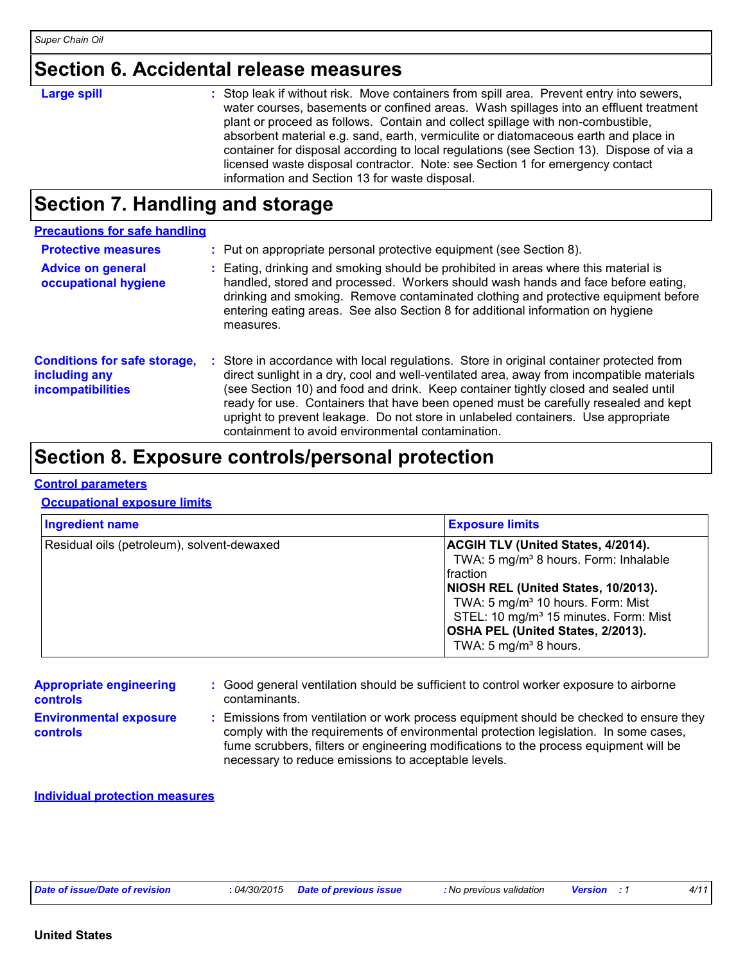### **Section 6. Accidental release measures**

| <b>Large spill</b> | : Stop leak if without risk. Move containers from spill area. Prevent entry into sewers,<br>water courses, basements or confined areas. Wash spillages into an effluent treatment<br>plant or proceed as follows. Contain and collect spillage with non-combustible,<br>absorbent material e.g. sand, earth, vermiculite or diatomaceous earth and place in<br>container for disposal according to local regulations (see Section 13). Dispose of via a<br>licensed waste disposal contractor. Note: see Section 1 for emergency contact<br>information and Section 13 for waste disposal. |
|--------------------|--------------------------------------------------------------------------------------------------------------------------------------------------------------------------------------------------------------------------------------------------------------------------------------------------------------------------------------------------------------------------------------------------------------------------------------------------------------------------------------------------------------------------------------------------------------------------------------------|
|                    |                                                                                                                                                                                                                                                                                                                                                                                                                                                                                                                                                                                            |

### **Section 7. Handling and storage**

| <b>Precautions for safe handling</b>                                             |                                                                                                                                                                                                                                                                                                                                                                                                                                                                                                             |
|----------------------------------------------------------------------------------|-------------------------------------------------------------------------------------------------------------------------------------------------------------------------------------------------------------------------------------------------------------------------------------------------------------------------------------------------------------------------------------------------------------------------------------------------------------------------------------------------------------|
| <b>Protective measures</b>                                                       | : Put on appropriate personal protective equipment (see Section 8).                                                                                                                                                                                                                                                                                                                                                                                                                                         |
| <b>Advice on general</b><br>occupational hygiene                                 | Eating, drinking and smoking should be prohibited in areas where this material is<br>handled, stored and processed. Workers should wash hands and face before eating,<br>drinking and smoking. Remove contaminated clothing and protective equipment before<br>entering eating areas. See also Section 8 for additional information on hygiene<br>measures.                                                                                                                                                 |
| <b>Conditions for safe storage,</b><br>including any<br><b>incompatibilities</b> | Store in accordance with local regulations. Store in original container protected from<br>direct sunlight in a dry, cool and well-ventilated area, away from incompatible materials<br>(see Section 10) and food and drink. Keep container tightly closed and sealed until<br>ready for use. Containers that have been opened must be carefully resealed and kept<br>upright to prevent leakage. Do not store in unlabeled containers. Use appropriate<br>containment to avoid environmental contamination. |

### **Section 8. Exposure controls/personal protection**

#### **Control parameters**

#### **Occupational exposure limits**

| <b>Ingredient name</b>                     | <b>Exposure limits</b>                                                                                                                                                                                                                                                                                                            |
|--------------------------------------------|-----------------------------------------------------------------------------------------------------------------------------------------------------------------------------------------------------------------------------------------------------------------------------------------------------------------------------------|
| Residual oils (petroleum), solvent-dewaxed | <b>ACGIH TLV (United States, 4/2014).</b><br>TWA: 5 mg/m <sup>3</sup> 8 hours. Form: Inhalable<br>fraction<br>NIOSH REL (United States, 10/2013).<br>TWA: 5 mg/m <sup>3</sup> 10 hours. Form: Mist<br>STEL: 10 mg/m <sup>3</sup> 15 minutes. Form: Mist<br>OSHA PEL (United States, 2/2013).<br>TWA: 5 mg/m <sup>3</sup> 8 hours. |

| <b>Appropriate engineering</b><br><b>controls</b> | : Good general ventilation should be sufficient to control worker exposure to airborne<br>contaminants.                                                                                                                                                                                                                         |
|---------------------------------------------------|---------------------------------------------------------------------------------------------------------------------------------------------------------------------------------------------------------------------------------------------------------------------------------------------------------------------------------|
| <b>Environmental exposure</b><br><b>controls</b>  | : Emissions from ventilation or work process equipment should be checked to ensure they<br>comply with the requirements of environmental protection legislation. In some cases,<br>fume scrubbers, filters or engineering modifications to the process equipment will be<br>necessary to reduce emissions to acceptable levels. |

#### **Individual protection measures**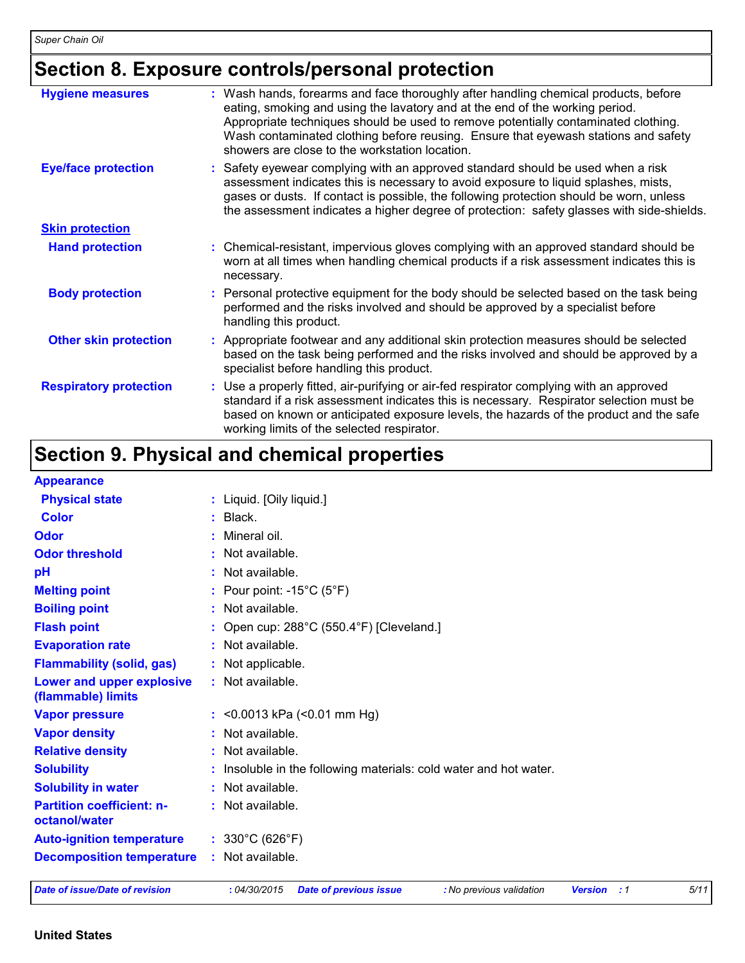## **Section 8. Exposure controls/personal protection**

| <b>Hygiene measures</b>       | : Wash hands, forearms and face thoroughly after handling chemical products, before<br>eating, smoking and using the lavatory and at the end of the working period.<br>Appropriate techniques should be used to remove potentially contaminated clothing.<br>Wash contaminated clothing before reusing. Ensure that eyewash stations and safety<br>showers are close to the workstation location. |
|-------------------------------|---------------------------------------------------------------------------------------------------------------------------------------------------------------------------------------------------------------------------------------------------------------------------------------------------------------------------------------------------------------------------------------------------|
| <b>Eye/face protection</b>    | : Safety eyewear complying with an approved standard should be used when a risk<br>assessment indicates this is necessary to avoid exposure to liquid splashes, mists,<br>gases or dusts. If contact is possible, the following protection should be worn, unless<br>the assessment indicates a higher degree of protection: safety glasses with side-shields.                                    |
| <b>Skin protection</b>        |                                                                                                                                                                                                                                                                                                                                                                                                   |
| <b>Hand protection</b>        | : Chemical-resistant, impervious gloves complying with an approved standard should be<br>worn at all times when handling chemical products if a risk assessment indicates this is<br>necessary.                                                                                                                                                                                                   |
| <b>Body protection</b>        | : Personal protective equipment for the body should be selected based on the task being<br>performed and the risks involved and should be approved by a specialist before<br>handling this product.                                                                                                                                                                                               |
| <b>Other skin protection</b>  | : Appropriate footwear and any additional skin protection measures should be selected<br>based on the task being performed and the risks involved and should be approved by a<br>specialist before handling this product.                                                                                                                                                                         |
| <b>Respiratory protection</b> | : Use a properly fitted, air-purifying or air-fed respirator complying with an approved<br>standard if a risk assessment indicates this is necessary. Respirator selection must be<br>based on known or anticipated exposure levels, the hazards of the product and the safe<br>working limits of the selected respirator.                                                                        |

## **Section 9. Physical and chemical properties**

| <b>Appearance</b>                                 |                                                                                                           |      |  |  |  |  |
|---------------------------------------------------|-----------------------------------------------------------------------------------------------------------|------|--|--|--|--|
| <b>Physical state</b>                             | : Liquid. [Oily liquid.]                                                                                  |      |  |  |  |  |
| <b>Color</b>                                      | $:$ Black.                                                                                                |      |  |  |  |  |
| Odor                                              | : Mineral oil.                                                                                            |      |  |  |  |  |
| <b>Odor threshold</b>                             | Not available.                                                                                            |      |  |  |  |  |
| pH                                                | Not available.                                                                                            |      |  |  |  |  |
| <b>Melting point</b>                              | : Pour point: -15 $^{\circ}$ C (5 $^{\circ}$ F)                                                           |      |  |  |  |  |
| <b>Boiling point</b>                              | : Not available.                                                                                          |      |  |  |  |  |
| <b>Flash point</b>                                | : Open cup: $288^{\circ}$ C (550.4 $^{\circ}$ F) [Cleveland.]                                             |      |  |  |  |  |
| <b>Evaporation rate</b>                           | : Not available.                                                                                          |      |  |  |  |  |
| <b>Flammability (solid, gas)</b>                  | : Not applicable.                                                                                         |      |  |  |  |  |
| Lower and upper explosive<br>(flammable) limits   | : Not available.                                                                                          |      |  |  |  |  |
| <b>Vapor pressure</b>                             | : < 0.0013 kPa $($ < 0.01 mm Hg)                                                                          |      |  |  |  |  |
| <b>Vapor density</b>                              | : Not available.                                                                                          |      |  |  |  |  |
| <b>Relative density</b>                           | : Not available.                                                                                          |      |  |  |  |  |
| <b>Solubility</b>                                 | Insoluble in the following materials: cold water and hot water.                                           |      |  |  |  |  |
| <b>Solubility in water</b>                        | : Not available.                                                                                          |      |  |  |  |  |
| <b>Partition coefficient: n-</b><br>octanol/water | : Not available.                                                                                          |      |  |  |  |  |
| <b>Auto-ignition temperature</b>                  | : $330^{\circ}$ C (626 $^{\circ}$ F)                                                                      |      |  |  |  |  |
| <b>Decomposition temperature</b>                  | : Not available.                                                                                          |      |  |  |  |  |
| Date of issue/Date of revision                    | : 04/30/2015<br><b>Date of previous issue</b><br>: No previous validation<br><b>Version</b><br>$\cdot$ :1 | 5/11 |  |  |  |  |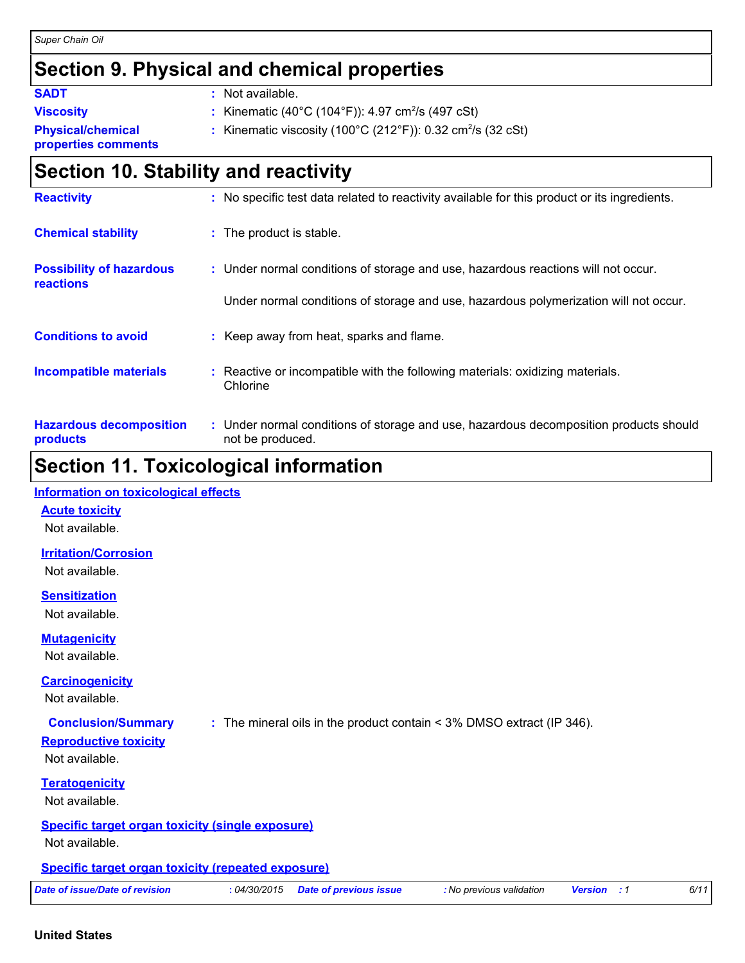#### *Super Chain Oil*

### **Section 9. Physical and chemical properties**

| <b>SADT</b>                                     | : Not available.                                                                              |
|-------------------------------------------------|-----------------------------------------------------------------------------------------------|
| <b>Viscosity</b>                                | : Kinematic (40°C (104°F)): 4.97 cm <sup>2</sup> /s (497 cSt)                                 |
| <b>Physical/chemical</b><br>properties comments | : Kinematic viscosity (100 $^{\circ}$ C (212 $^{\circ}$ F)): 0.32 cm <sup>2</sup> /s (32 cSt) |
|                                                 |                                                                                               |

### **Section 10. Stability and reactivity**

| <b>Reactivity</b>                            | : No specific test data related to reactivity available for this product or its ingredients.              |
|----------------------------------------------|-----------------------------------------------------------------------------------------------------------|
| <b>Chemical stability</b>                    | : The product is stable.                                                                                  |
| <b>Possibility of hazardous</b><br>reactions | : Under normal conditions of storage and use, hazardous reactions will not occur.                         |
|                                              | Under normal conditions of storage and use, hazardous polymerization will not occur.                      |
| <b>Conditions to avoid</b>                   | Keep away from heat, sparks and flame.                                                                    |
| <b>Incompatible materials</b>                | Reactive or incompatible with the following materials: oxidizing materials.<br>Chlorine                   |
| <b>Hazardous decomposition</b><br>products   | : Under normal conditions of storage and use, hazardous decomposition products should<br>not be produced. |

## **Section 11. Toxicological information**

| <b>Information on toxicological effects</b>               |              |                                                                       |                          |                |                |      |
|-----------------------------------------------------------|--------------|-----------------------------------------------------------------------|--------------------------|----------------|----------------|------|
| <b>Acute toxicity</b>                                     |              |                                                                       |                          |                |                |      |
| Not available.                                            |              |                                                                       |                          |                |                |      |
| <b>Irritation/Corrosion</b>                               |              |                                                                       |                          |                |                |      |
| Not available.                                            |              |                                                                       |                          |                |                |      |
| <b>Sensitization</b>                                      |              |                                                                       |                          |                |                |      |
| Not available.                                            |              |                                                                       |                          |                |                |      |
| <b>Mutagenicity</b>                                       |              |                                                                       |                          |                |                |      |
| Not available.                                            |              |                                                                       |                          |                |                |      |
| <b>Carcinogenicity</b>                                    |              |                                                                       |                          |                |                |      |
| Not available.                                            |              |                                                                       |                          |                |                |      |
| <b>Conclusion/Summary</b>                                 |              | : The mineral oils in the product contain < 3% DMSO extract (IP 346). |                          |                |                |      |
| <b>Reproductive toxicity</b>                              |              |                                                                       |                          |                |                |      |
| Not available.                                            |              |                                                                       |                          |                |                |      |
| <b>Teratogenicity</b>                                     |              |                                                                       |                          |                |                |      |
| Not available.                                            |              |                                                                       |                          |                |                |      |
| <b>Specific target organ toxicity (single exposure)</b>   |              |                                                                       |                          |                |                |      |
| Not available.                                            |              |                                                                       |                          |                |                |      |
| <b>Specific target organ toxicity (repeated exposure)</b> |              |                                                                       |                          |                |                |      |
| Date of issue/Date of revision                            | : 04/30/2015 | <b>Date of previous issue</b>                                         | : No previous validation | <b>Version</b> | $\therefore$ 1 | 6/11 |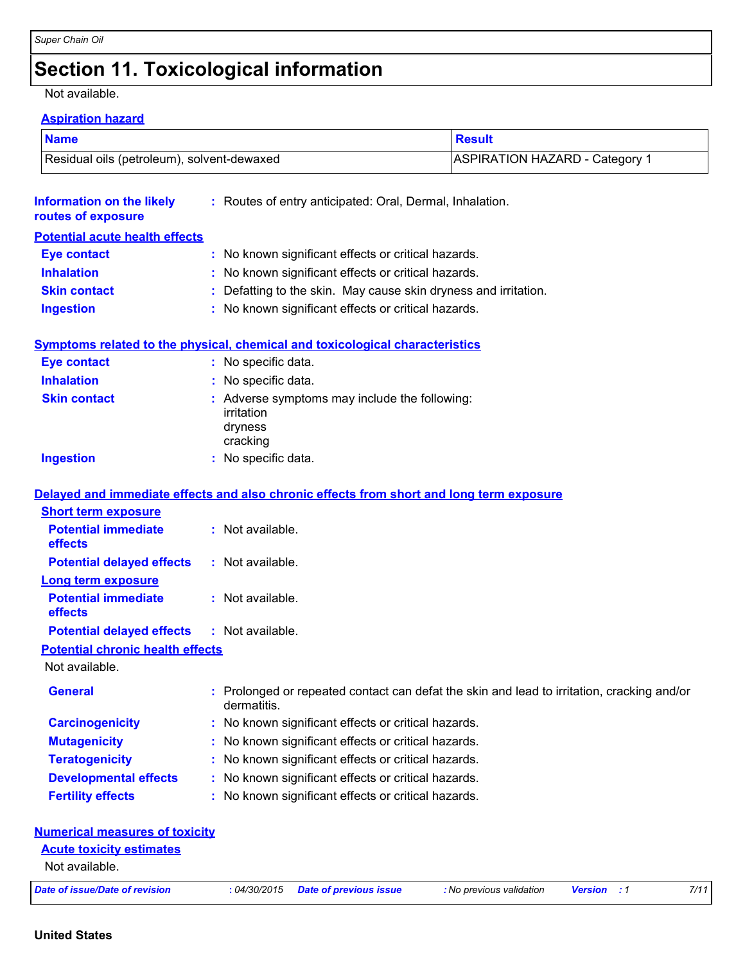### **Section 11. Toxicological information**

#### Not available.

#### **Aspiration hazard**

| <b>Name</b>                                | Result                                |  |  |
|--------------------------------------------|---------------------------------------|--|--|
| Residual oils (petroleum), solvent-dewaxed | <b>ASPIRATION HAZARD - Category 1</b> |  |  |

| <b>Information on the likely</b><br>routes of exposure | : Routes of entry anticipated: Oral, Dermal, Inhalation.        |
|--------------------------------------------------------|-----------------------------------------------------------------|
| <b>Potential acute health effects</b>                  |                                                                 |
| <b>Eye contact</b>                                     | : No known significant effects or critical hazards.             |
| <b>Inhalation</b>                                      | : No known significant effects or critical hazards.             |
| <b>Skin contact</b>                                    | : Defatting to the skin. May cause skin dryness and irritation. |
| <b>Ingestion</b>                                       | : No known significant effects or critical hazards.             |

#### **Symptoms related to the physical, chemical and toxicological characteristics**

| <b>Eye contact</b>  | : No specific data.                                                                |
|---------------------|------------------------------------------------------------------------------------|
| <b>Inhalation</b>   | : No specific data.                                                                |
| <b>Skin contact</b> | : Adverse symptoms may include the following:<br>irritation<br>dryness<br>cracking |
| <b>Ingestion</b>    | : No specific data.                                                                |

#### **Delayed and immediate effects and also chronic effects from short and long term exposure**

| <b>Short term exposure</b>                        |                                                                                                           |
|---------------------------------------------------|-----------------------------------------------------------------------------------------------------------|
| <b>Potential immediate</b><br><b>effects</b>      | $:$ Not available.                                                                                        |
| <b>Potential delayed effects</b>                  | $:$ Not available.                                                                                        |
| <b>Long term exposure</b>                         |                                                                                                           |
| <b>Potential immediate</b><br><b>effects</b>      | : Not available.                                                                                          |
| <b>Potential delayed effects : Not available.</b> |                                                                                                           |
| <b>Potential chronic health effects</b>           |                                                                                                           |
| Not available.                                    |                                                                                                           |
| <b>General</b>                                    | : Prolonged or repeated contact can defat the skin and lead to irritation, cracking and/or<br>dermatitis. |
| <b>Carcinogenicity</b>                            | : No known significant effects or critical hazards.                                                       |
| <b>Mutagenicity</b>                               | : No known significant effects or critical hazards.                                                       |
| <b>Teratogenicity</b>                             | : No known significant effects or critical hazards.                                                       |
| <b>Developmental effects</b>                      | : No known significant effects or critical hazards.                                                       |
| <b>Fertility effects</b>                          | : No known significant effects or critical hazards.                                                       |
|                                                   |                                                                                                           |

| <b>Numerical measures of toxicity</b>             |              |                        |                          |                    |      |
|---------------------------------------------------|--------------|------------------------|--------------------------|--------------------|------|
| <b>Acute toxicity estimates</b><br>Not available. |              |                        |                          |                    |      |
| Date of issue/Date of revision                    | : 04/30/2015 | Date of previous issue | : No previous validation | <b>Version</b> : 1 | 7/11 |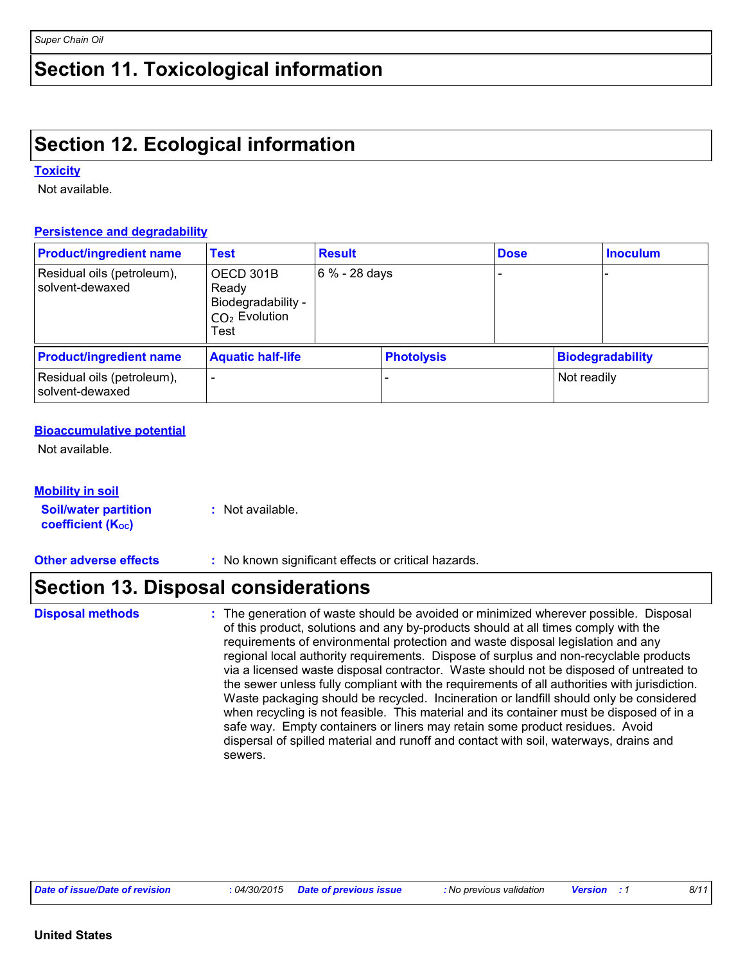### **Section 11. Toxicological information**

### **Section 12. Ecological information**

#### **Toxicity**

Not available.

#### **Persistence and degradability**

| <b>Product/ingredient name</b>                | <b>Result</b><br><b>Test</b>                                        |                 |                   | <b>Dose</b> |             | <b>Inoculum</b>  |
|-----------------------------------------------|---------------------------------------------------------------------|-----------------|-------------------|-------------|-------------|------------------|
| Residual oils (petroleum),<br>solvent-dewaxed | OECD 301B<br>Ready<br>Biodegradability -<br>$CO2$ Evolution<br>Test | $6\% - 28$ days |                   |             |             |                  |
| <b>Product/ingredient name</b>                | <b>Aquatic half-life</b>                                            |                 | <b>Photolysis</b> |             |             | Biodegradability |
| Residual oils (petroleum),<br>solvent-dewaxed | -                                                                   |                 |                   |             | Not readily |                  |

#### **Bioaccumulative potential**

Not available.

| <b>Mobility in soil</b>     |                  |
|-----------------------------|------------------|
| <b>Soil/water partition</b> | : Not available. |
| <b>coefficient (Koc)</b>    |                  |

**Other adverse effects** : No known significant effects or critical hazards.

### **Section 13. Disposal considerations**

The generation of waste should be avoided or minimized wherever possible. Disposal of this product, solutions and any by-products should at all times comply with the requirements of environmental protection and waste disposal legislation and any regional local authority requirements. Dispose of surplus and non-recyclable products via a licensed waste disposal contractor. Waste should not be disposed of untreated to the sewer unless fully compliant with the requirements of all authorities with jurisdiction. Waste packaging should be recycled. Incineration or landfill should only be considered when recycling is not feasible. This material and its container must be disposed of in a safe way. Empty containers or liners may retain some product residues. Avoid dispersal of spilled material and runoff and contact with soil, waterways, drains and sewers. **Disposal methods :**

*Date of issue/Date of revision* **:** *04/30/2015 Date of previous issue : No previous validation Version : 1 8/11*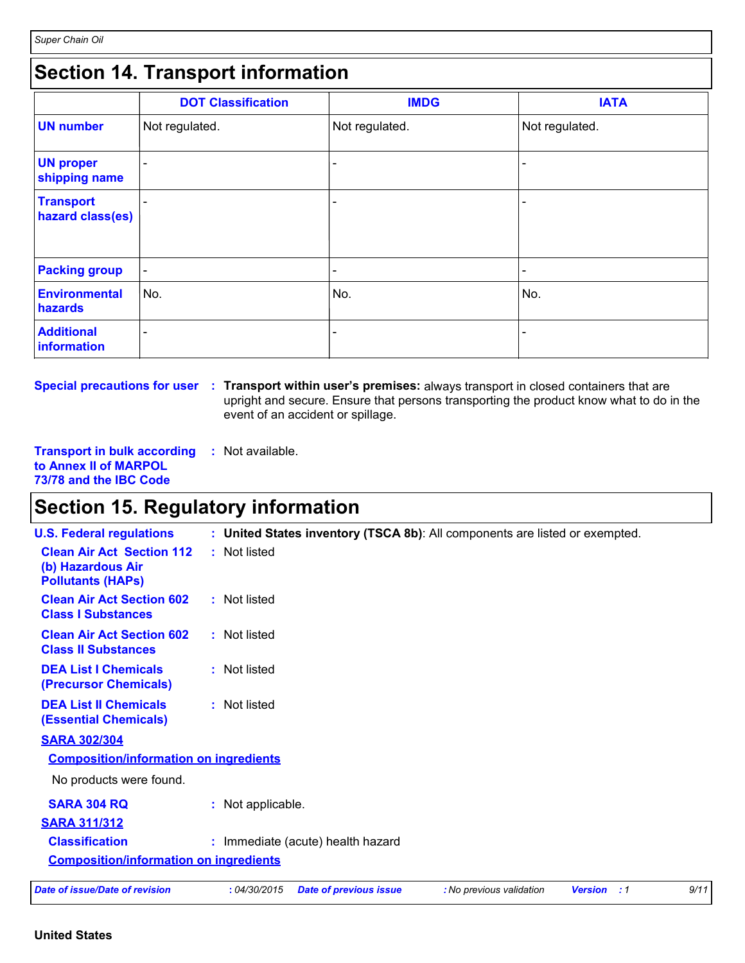### **Section 14. Transport information**

|                                      | <b>DOT Classification</b> | <b>IMDG</b>              | <b>IATA</b>              |
|--------------------------------------|---------------------------|--------------------------|--------------------------|
| <b>UN number</b>                     | Not regulated.            | Not regulated.           | Not regulated.           |
| <b>UN proper</b><br>shipping name    | -                         |                          | -                        |
| <b>Transport</b><br>hazard class(es) |                           | $\overline{\phantom{0}}$ | $\overline{\phantom{0}}$ |
| <b>Packing group</b>                 | $\overline{\phantom{a}}$  | $\overline{\phantom{a}}$ | $\overline{\phantom{a}}$ |
| <b>Environmental</b><br>hazards      | No.                       | No.                      | No.                      |
| <b>Additional</b><br>information     | -                         | $\overline{\phantom{a}}$ | $\overline{\phantom{0}}$ |

**Special precautions for user Transport within user's premises:** always transport in closed containers that are **:** upright and secure. Ensure that persons transporting the product know what to do in the event of an accident or spillage.

**Transport in bulk according to Annex II of MARPOL 73/78 and the IBC Code :** Not available.

### **Section 15. Regulatory information**

| <b>U.S. Federal regulations</b>                                                   | : United States inventory (TSCA 8b): All components are listed or exempted.                             |
|-----------------------------------------------------------------------------------|---------------------------------------------------------------------------------------------------------|
| <b>Clean Air Act Section 112</b><br>(b) Hazardous Air<br><b>Pollutants (HAPS)</b> | : Not listed                                                                                            |
| <b>Clean Air Act Section 602</b><br><b>Class I Substances</b>                     | : Not listed                                                                                            |
| <b>Clean Air Act Section 602</b><br><b>Class II Substances</b>                    | : Not listed                                                                                            |
| <b>DEA List I Chemicals</b><br>(Precursor Chemicals)                              | : Not listed                                                                                            |
| <b>DEA List II Chemicals</b><br><b>(Essential Chemicals)</b>                      | : Not listed                                                                                            |
| <b>SARA 302/304</b>                                                               |                                                                                                         |
| <b>Composition/information on ingredients</b>                                     |                                                                                                         |
| No products were found.                                                           |                                                                                                         |
| <b>SARA 304 RQ</b>                                                                | : Not applicable.                                                                                       |
| <b>SARA 311/312</b>                                                               |                                                                                                         |
| <b>Classification</b>                                                             | : Immediate (acute) health hazard                                                                       |
| <b>Composition/information on ingredients</b>                                     |                                                                                                         |
| <b>Date of issue/Date of revision</b>                                             | 9/11<br>: 04/30/2015<br><b>Date of previous issue</b><br>: No previous validation<br><b>Version</b> : 1 |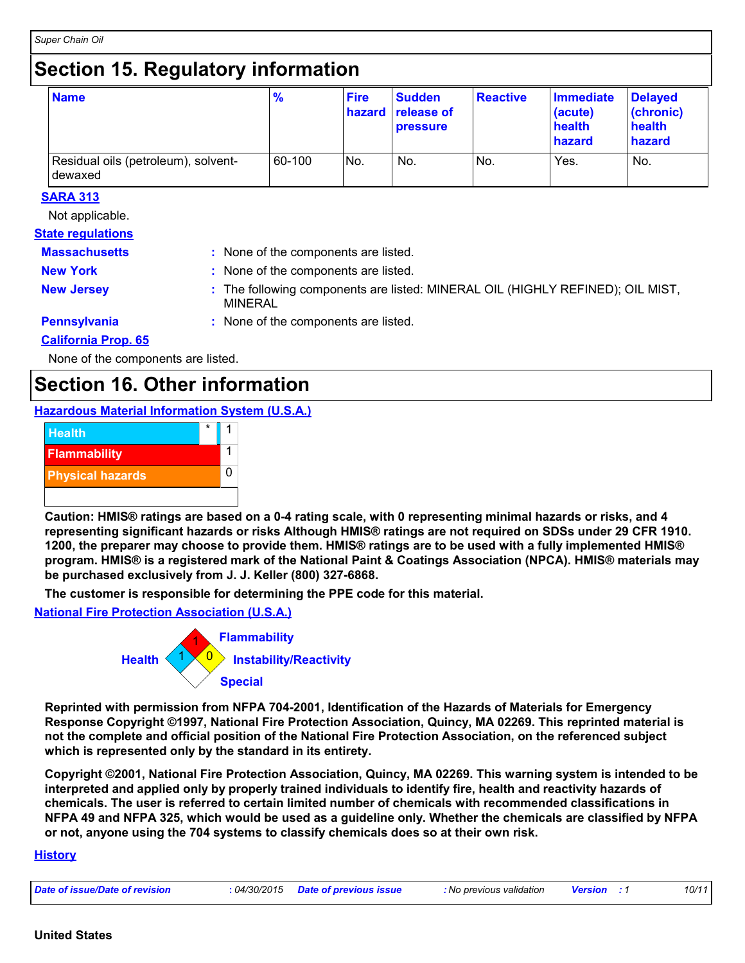### **Section 15. Regulatory information**

| <b>Name</b>                                    | $\frac{9}{6}$ | <b>Fire</b>     | <b>Sudden</b><br>hazard release of<br><b>pressure</b> | <b>Reactive</b> | <b>Immediate</b><br>(acute)<br>health<br>hazard | <b>Delayed</b><br>(chronic)<br>health<br>hazard |
|------------------------------------------------|---------------|-----------------|-------------------------------------------------------|-----------------|-------------------------------------------------|-------------------------------------------------|
| Residual oils (petroleum), solvent-<br>dewaxed | 60-100        | IN <sub>o</sub> | No.                                                   | No.             | Yes.                                            | No.                                             |

#### **SARA 313**

Not applicable.

### **State regulations**

| <b>Massachusetts</b>       | : None of the components are listed.                                                             |
|----------------------------|--------------------------------------------------------------------------------------------------|
| <b>New York</b>            | : None of the components are listed.                                                             |
| <b>New Jersey</b>          | : The following components are listed: MINERAL OIL (HIGHLY REFINED); OIL MIST,<br><b>MINERAL</b> |
| Pennsylvania               | : None of the components are listed.                                                             |
| <b>California Prop. 65</b> |                                                                                                  |

None of the components are listed.

### **Section 16. Other information**

#### **Hazardous Material Information System (U.S.A.)**



**Caution: HMIS® ratings are based on a 0-4 rating scale, with 0 representing minimal hazards or risks, and 4 representing significant hazards or risks Although HMIS® ratings are not required on SDSs under 29 CFR 1910. 1200, the preparer may choose to provide them. HMIS® ratings are to be used with a fully implemented HMIS® program. HMIS® is a registered mark of the National Paint & Coatings Association (NPCA). HMIS® materials may be purchased exclusively from J. J. Keller (800) 327-6868.**

**The customer is responsible for determining the PPE code for this material.**

**National Fire Protection Association (U.S.A.)**



**Reprinted with permission from NFPA 704-2001, Identification of the Hazards of Materials for Emergency Response Copyright ©1997, National Fire Protection Association, Quincy, MA 02269. This reprinted material is not the complete and official position of the National Fire Protection Association, on the referenced subject which is represented only by the standard in its entirety.**

**Copyright ©2001, National Fire Protection Association, Quincy, MA 02269. This warning system is intended to be interpreted and applied only by properly trained individuals to identify fire, health and reactivity hazards of chemicals. The user is referred to certain limited number of chemicals with recommended classifications in NFPA 49 and NFPA 325, which would be used as a guideline only. Whether the chemicals are classified by NFPA or not, anyone using the 704 systems to classify chemicals does so at their own risk.**

#### **History**

| Date of issue/Date of revision | 04/30/2015 | Date of previous issue | <b>:</b> No previous validation | <b>Version</b> | 10/11 |
|--------------------------------|------------|------------------------|---------------------------------|----------------|-------|